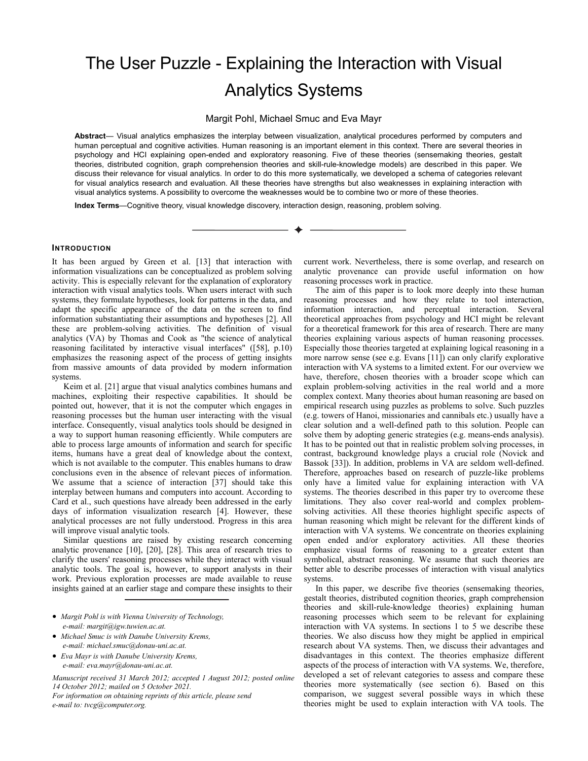# The User Puzzle - Explaining the Interaction with Visual Analytics Systems

Margit Pohl, Michael Smuc and Eva Mayr

**Abstract**— Visual analytics emphasizes the interplay between visualization, analytical procedures performed by computers and human perceptual and cognitive activities. Human reasoning is an important element in this context. There are several theories in psychology and HCI explaining open-ended and exploratory reasoning. Five of these theories (sensemaking theories, gestalt theories, distributed cognition, graph comprehension theories and skill-rule-knowledge models) are described in this paper. We discuss their relevance for visual analytics. In order to do this more systematically, we developed a schema of categories relevant for visual analytics research and evaluation. All these theories have strengths but also weaknesses in explaining interaction with visual analytics systems. A possibility to overcome the weaknesses would be to combine two or more of these theories.

**Index Terms**—Cognitive theory, visual knowledge discovery, interaction design, reasoning, problem solving.

## **INTRODUCTION**

It has been argued by Green et al. [13] that interaction with information visualizations can be conceptualized as problem solving activity. This is especially relevant for the explanation of exploratory interaction with visual analytics tools. When users interact with such systems, they formulate hypotheses, look for patterns in the data, and adapt the specific appearance of the data on the screen to find information substantiating their assumptions and hypotheses [2]. All these are problem-solving activities. The definition of visual analytics (VA) by Thomas and Cook as "the science of analytical reasoning facilitated by interactive visual interfaces" ([58], p.10) emphasizes the reasoning aspect of the process of getting insights from massive amounts of data provided by modern information systems.

Keim et al. [21] argue that visual analytics combines humans and machines, exploiting their respective capabilities. It should be pointed out, however, that it is not the computer which engages in reasoning processes but the human user interacting with the visual interface. Consequently, visual analytics tools should be designed in a way to support human reasoning efficiently. While computers are able to process large amounts of information and search for specific items, humans have a great deal of knowledge about the context, which is not available to the computer. This enables humans to draw conclusions even in the absence of relevant pieces of information. We assume that a science of interaction [37] should take this interplay between humans and computers into account. According to Card et al., such questions have already been addressed in the early days of information visualization research [4]. However, these analytical processes are not fully understood. Progress in this area will improve visual analytic tools.

Similar questions are raised by existing research concerning analytic provenance [10], [20], [28]. This area of research tries to clarify the users' reasoning processes while they interact with visual analytic tools. The goal is, however, to support analysts in their work. Previous exploration processes are made available to reuse insights gained at an earlier stage and compare these insights to their

- *Margit Pohl is with Vienna University of Technology, e-mail: margit@igw.tuwien.ac.at.*
- *Michael Smuc is with Danube University Krems, e-mail: michael.smuc@donau-uni.ac.at.*
- *Eva Mayr is with Danube University Krems, e-mail: eva.mayr@donau-uni.ac.at.*

*Manuscript received 31 March 2012; accepted 1 August 2012; posted online 14 October 2012; mailed on 5 October 2021. For information on obtaining reprints of this article, please send e-mail to: tvcg@computer.org.* 

current work. Nevertheless, there is some overlap, and research on analytic provenance can provide useful information on how reasoning processes work in practice.

The aim of this paper is to look more deeply into these human reasoning processes and how they relate to tool interaction, information interaction, and perceptual interaction. Several theoretical approaches from psychology and HCI might be relevant for a theoretical framework for this area of research. There are many theories explaining various aspects of human reasoning processes. Especially those theories targeted at explaining logical reasoning in a more narrow sense (see e.g. Evans [11]) can only clarify explorative interaction with VA systems to a limited extent. For our overview we have, therefore, chosen theories with a broader scope which can explain problem-solving activities in the real world and a more complex context. Many theories about human reasoning are based on empirical research using puzzles as problems to solve. Such puzzles (e.g. towers of Hanoi, missionaries and cannibals etc.) usually have a clear solution and a well-defined path to this solution. People can solve them by adopting generic strategies (e.g. means-ends analysis). It has to be pointed out that in realistic problem solving processes, in contrast, background knowledge plays a crucial role (Novick and Bassok [33]). In addition, problems in VA are seldom well-defined. Therefore, approaches based on research of puzzle-like problems only have a limited value for explaining interaction with VA systems. The theories described in this paper try to overcome these limitations. They also cover real-world and complex problemsolving activities. All these theories highlight specific aspects of human reasoning which might be relevant for the different kinds of interaction with VA systems. We concentrate on theories explaining open ended and/or exploratory activities. All these theories emphasize visual forms of reasoning to a greater extent than symbolical, abstract reasoning. We assume that such theories are better able to describe processes of interaction with visual analytics systems.

In this paper, we describe five theories (sensemaking theories, gestalt theories, distributed cognition theories, graph comprehension theories and skill-rule-knowledge theories) explaining human reasoning processes which seem to be relevant for explaining interaction with VA systems. In sections 1 to 5 we describe these theories. We also discuss how they might be applied in empirical research about VA systems. Then, we discuss their advantages and disadvantages in this context. The theories emphasize different aspects of the process of interaction with VA systems. We, therefore, developed a set of relevant categories to assess and compare these theories more systematically (see section 6). Based on this comparison, we suggest several possible ways in which these theories might be used to explain interaction with VA tools. The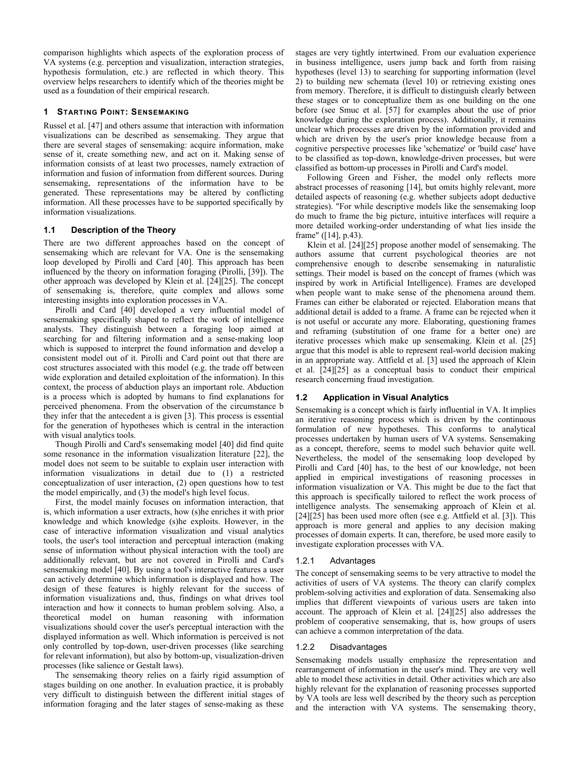comparison highlights which aspects of the exploration process of VA systems (e.g. perception and visualization, interaction strategies, hypothesis formulation, etc.) are reflected in which theory. This overview helps researchers to identify which of the theories might be used as a foundation of their empirical research.

# **1 STARTING POINT: SENSEMAKING**

Russel et al. [47] and others assume that interaction with information visualizations can be described as sensemaking. They argue that there are several stages of sensemaking: acquire information, make sense of it, create something new, and act on it. Making sense of information consists of at least two processes, namely extraction of information and fusion of information from different sources. During sensemaking, representations of the information have to be generated. These representations may be altered by conflicting information. All these processes have to be supported specifically by information visualizations.

## **1.1 Description of the Theory**

There are two different approaches based on the concept of sensemaking which are relevant for VA. One is the sensemaking loop developed by Pirolli and Card [40]. This approach has been influenced by the theory on information foraging (Pirolli, [39]). The other approach was developed by Klein et al. [24][25]. The concept of sensemaking is, therefore, quite complex and allows some interesting insights into exploration processes in VA.

Pirolli and Card [40] developed a very influential model of sensemaking specifically shaped to reflect the work of intelligence analysts. They distinguish between a foraging loop aimed at searching for and filtering information and a sense-making loop which is supposed to interpret the found information and develop a consistent model out of it. Pirolli and Card point out that there are cost structures associated with this model (e.g. the trade off between wide exploration and detailed exploitation of the information). In this context, the process of abduction plays an important role. Abduction is a process which is adopted by humans to find explanations for perceived phenomena. From the observation of the circumstance b they infer that the antecedent a is given [3]. This process is essential for the generation of hypotheses which is central in the interaction with visual analytics tools.

Though Pirolli and Card's sensemaking model [40] did find quite some resonance in the information visualization literature [22], the model does not seem to be suitable to explain user interaction with information visualizations in detail due to (1) a restricted conceptualization of user interaction, (2) open questions how to test the model empirically, and (3) the model's high level focus.

First, the model mainly focuses on information interaction, that is, which information a user extracts, how (s)he enriches it with prior knowledge and which knowledge (s)he exploits. However, in the case of interactive information visualization and visual analytics tools, the user's tool interaction and perceptual interaction (making sense of information without physical interaction with the tool) are additionally relevant, but are not covered in Pirolli and Card's sensemaking model [40]. By using a tool's interactive features a user can actively determine which information is displayed and how. The design of these features is highly relevant for the success of information visualizations and, thus, findings on what drives tool interaction and how it connects to human problem solving. Also, a theoretical model on human reasoning with information visualizations should cover the user's perceptual interaction with the displayed information as well. Which information is perceived is not only controlled by top-down, user-driven processes (like searching for relevant information), but also by bottom-up, visualization-driven processes (like salience or Gestalt laws).

The sensemaking theory relies on a fairly rigid assumption of stages building on one another. In evaluation practice, it is probably very difficult to distinguish between the different initial stages of information foraging and the later stages of sense-making as these

stages are very tightly intertwined. From our evaluation experience in business intelligence, users jump back and forth from raising hypotheses (level 13) to searching for supporting information (level 2) to building new schemata (level 10) or retrieving existing ones from memory. Therefore, it is difficult to distinguish clearly between these stages or to conceptualize them as one building on the one before (see Smuc et al. [57] for examples about the use of prior knowledge during the exploration process). Additionally, it remains unclear which processes are driven by the information provided and which are driven by the user's prior knowledge because from a cognitive perspective processes like 'schematize' or 'build case' have to be classified as top-down, knowledge-driven processes, but were classified as bottom-up processes in Pirolli and Card's model.

Following Green and Fisher, the model only reflects more abstract processes of reasoning [14], but omits highly relevant, more detailed aspects of reasoning (e.g. whether subjects adopt deductive strategies). "For while descriptive models like the sensemaking loop do much to frame the big picture, intuitive interfaces will require a more detailed working-order understanding of what lies inside the frame" ([14], p.43).

Klein et al. [24][25] propose another model of sensemaking. The authors assume that current psychological theories are not comprehensive enough to describe sensemaking in naturalistic settings. Their model is based on the concept of frames (which was inspired by work in Artificial Intelligence). Frames are developed when people want to make sense of the phenomena around them. Frames can either be elaborated or rejected. Elaboration means that additional detail is added to a frame. A frame can be rejected when it is not useful or accurate any more. Elaborating, questioning frames and reframing (substitution of one frame for a better one) are iterative processes which make up sensemaking. Klein et al. [25] argue that this model is able to represent real-world decision making in an appropriate way. Attfield et al. [3] used the approach of Klein et al. [24][25] as a conceptual basis to conduct their empirical research concerning fraud investigation.

# **1.2 Application in Visual Analytics**

Sensemaking is a concept which is fairly influential in VA. It implies an iterative reasoning process which is driven by the continuous formulation of new hypotheses. This conforms to analytical processes undertaken by human users of VA systems. Sensemaking as a concept, therefore, seems to model such behavior quite well. Nevertheless, the model of the sensemaking loop developed by Pirolli and Card [40] has, to the best of our knowledge, not been applied in empirical investigations of reasoning processes in information visualization or VA. This might be due to the fact that this approach is specifically tailored to reflect the work process of intelligence analysts. The sensemaking approach of Klein et al. [24][25] has been used more often (see e.g. Attfield et al. [3]). This approach is more general and applies to any decision making processes of domain experts. It can, therefore, be used more easily to investigate exploration processes with VA.

## 1.2.1 Advantages

The concept of sensemaking seems to be very attractive to model the activities of users of VA systems. The theory can clarify complex problem-solving activities and exploration of data. Sensemaking also implies that different viewpoints of various users are taken into account. The approach of Klein et al. [24][25] also addresses the problem of cooperative sensemaking, that is, how groups of users can achieve a common interpretation of the data.

## 1.2.2 Disadvantages

Sensemaking models usually emphasize the representation and rearrangement of information in the user's mind. They are very well able to model these activities in detail. Other activities which are also highly relevant for the explanation of reasoning processes supported by VA tools are less well described by the theory such as perception and the interaction with VA systems. The sensemaking theory,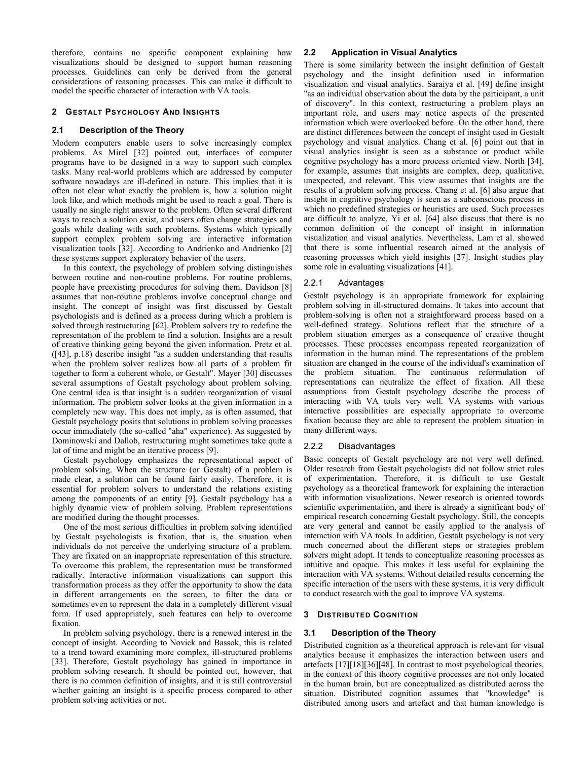therefore, contains no specific component explaining how visualizations should be designed to support human reasoning processes. Guidelines can only be derived from the general considerations of reasoning processes. This can make it difficult to model the specific character of interaction with VA tools.

# **2 GESTALT PSYCHOLOGY AND INSIGHTS**

## **2.1 Description of the Theory**

Modern computers enable users to solve increasingly complex problems. As Mirel [32] pointed out, interfaces of computer programs have to be designed in a way to support such complex tasks. Many real-world problems which are addressed by computer software nowadays are ill-defined in nature. This implies that it is often not clear what exactly the problem is, how a solution might look like, and which methods might be used to reach a goal. There is usually no single right answer to the problem. Often several different ways to reach a solution exist, and users often change strategies and goals while dealing with such problems. Systems which typically support complex problem solving are interactive information visualization tools [32]. According to Andrienko and Andrienko [2] these systems support exploratory behavior of the users.

In this context, the psychology of problem solving distinguishes between routine and non-routine problems. For routine problems, people have preexisting procedures for solving them. Davidson [8] assumes that non-routine problems involve conceptual change and insight. The concept of insight was first discussed by Gestalt psychologists and is defined as a process during which a problem is solved through restructuring [62]. Problem solvers try to redefine the representation of the problem to find a solution. Insights are a result of creative thinking going beyond the given information. Pretz et al. ([43], p.18) describe insight "as a sudden understanding that results when the problem solver realizes how all parts of a problem fit together to form a coherent whole, or Gestalt". Mayer [30] discusses several assumptions of Gestalt psychology about problem solving. One central idea is that insight is a sudden reorganization of visual information. The problem solver looks at the given information in a completely new way. This does not imply, as is often assumed, that Gestalt psychology posits that solutions in problem solving processes occur immediately (the so-called "aha" experience). As suggested by Dominowski and Dallob, restructuring might sometimes take quite a lot of time and might be an iterative process [9].

Gestalt psychology emphasizes the representational aspect of problem solving. When the structure (or Gestalt) of a problem is made clear, a solution can be found fairly easily. Therefore, it is essential for problem solvers to understand the relations existing among the components of an entity [9]. Gestalt psychology has a highly dynamic view of problem solving. Problem representations are modified during the thought processes.

One of the most serious difficulties in problem solving identified by Gestalt psychologists is fixation, that is, the situation when individuals do not perceive the underlying structure of a problem. They are fixated on an inappropriate representation of this structure. To overcome this problem, the representation must be transformed radically. Interactive information visualizations can support this transformation process as they offer the opportunity to show the data in different arrangements on the screen, to filter the data or sometimes even to represent the data in a completely different visual form. If used appropriately, such features can help to overcome fixation.

In problem solving psychology, there is a renewed interest in the concept of insight. According to Novick and Bassok, this is related to a trend toward examining more complex, ill-structured problems [33]. Therefore, Gestalt psychology has gained in importance in problem solving research. It should be pointed out, however, that there is no common definition of insights, and it is still controversial whether gaining an insight is a specific process compared to other problem solving activities or not.

## **2.2 Application in Visual Analytics**

There is some similarity between the insight definition of Gestalt psychology and the insight definition used in information visualization and visual analytics. Saraiya et al. [49] define insight "as an individual observation about the data by the participant, a unit of discovery". In this context, restructuring a problem plays an important role, and users may notice aspects of the presented information which were overlooked before. On the other hand, there are distinct differences between the concept of insight used in Gestalt psychology and visual analytics. Chang et al. [6] point out that in visual analytics insight is seen as a substance or product while cognitive psychology has a more process oriented view. North [34], for example, assumes that insights are complex, deep, qualitative, unexpected, and relevant. This view assumes that insights are the results of a problem solving process. Chang et al. [6] also argue that insight in cognitive psychology is seen as a subconscious process in which no predefined strategies or heuristics are used. Such processes are difficult to analyze. Yi et al. [64] also discuss that there is no common definition of the concept of insight in information visualization and visual analytics. Nevertheless, Lam et al. showed that there is some influential research aimed at the analysis of reasoning processes which yield insights [27]. Insight studies play some role in evaluating visualizations [41].

## 2.2.1 Advantages

Gestalt psychology is an appropriate framework for explaining problem solving in ill-structured domains. It takes into account that problem-solving is often not a straightforward process based on a well-defined strategy. Solutions reflect that the structure of a problem situation emerges as a consequence of creative thought processes. These processes encompass repeated reorganization of information in the human mind. The representations of the problem situation are changed in the course of the individual's examination of the problem situation. The continuous reformulation of representations can neutralize the effect of fixation. All these assumptions from Gestalt psychology describe the process of interacting with VA tools very well. VA systems with various interactive possibilities are especially appropriate to overcome fixation because they are able to represent the problem situation in many different ways.

## 2.2.2 Disadvantages

Basic concepts of Gestalt psychology are not very well defined. Older research from Gestalt psychologists did not follow strict rules of experimentation. Therefore, it is difficult to use Gestalt psychology as a theoretical framework for explaining the interaction with information visualizations. Newer research is oriented towards scientific experimentation, and there is already a significant body of empirical research concerning Gestalt psychology. Still, the concepts are very general and cannot be easily applied to the analysis of interaction with VA tools. In addition, Gestalt psychology is not very much concerned about the different steps or strategies problem solvers might adopt. It tends to conceptualize reasoning processes as intuitive and opaque. This makes it less useful for explaining the interaction with VA systems. Without detailed results concerning the specific interaction of the users with these systems, it is very difficult to conduct research with the goal to improve VA systems.

## **3 DISTRIBUTED COGNITION**

## **3.1 Description of the Theory**

Distributed cognition as a theoretical approach is relevant for visual analytics because it emphasizes the interaction between users and artefacts [17][18][36][48]. In contrast to most psychological theories, in the context of this theory cognitive processes are not only located in the human brain, but are conceptualized as distributed across the situation. Distributed cognition assumes that "knowledge" is distributed among users and artefact and that human knowledge is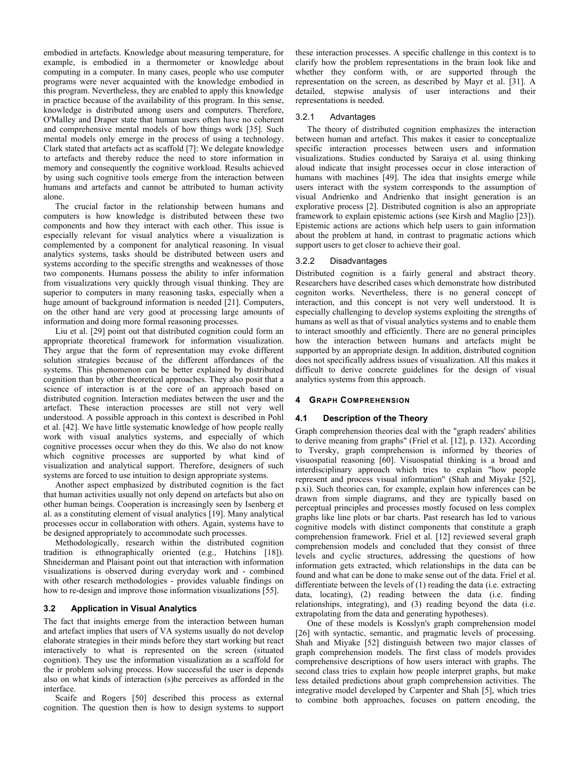embodied in artefacts. Knowledge about measuring temperature, for example, is embodied in a thermometer or knowledge about computing in a computer. In many cases, people who use computer programs were never acquainted with the knowledge embodied in this program. Nevertheless, they are enabled to apply this knowledge in practice because of the availability of this program. In this sense, knowledge is distributed among users and computers. Therefore, O'Malley and Draper state that human users often have no coherent and comprehensive mental models of how things work [35]. Such mental models only emerge in the process of using a technology. Clark stated that artefacts act as scaffold [7]: We delegate knowledge to artefacts and thereby reduce the need to store information in memory and consequently the cognitive workload. Results achieved by using such cognitive tools emerge from the interaction between humans and artefacts and cannot be attributed to human activity alone.

The crucial factor in the relationship between humans and computers is how knowledge is distributed between these two components and how they interact with each other. This issue is especially relevant for visual analytics where a visualization is complemented by a component for analytical reasoning. In visual analytics systems, tasks should be distributed between users and systems according to the specific strengths and weaknesses of those two components. Humans possess the ability to infer information from visualizations very quickly through visual thinking. They are superior to computers in many reasoning tasks, especially when a huge amount of background information is needed [21]. Computers, on the other hand are very good at processing large amounts of information and doing more formal reasoning processes.

Liu et al. [29] point out that distributed cognition could form an appropriate theoretical framework for information visualization. They argue that the form of representation may evoke different solution strategies because of the different affordances of the systems. This phenomenon can be better explained by distributed cognition than by other theoretical approaches. They also posit that a science of interaction is at the core of an approach based on distributed cognition. Interaction mediates between the user and the artefact. These interaction processes are still not very well understood. A possible approach in this context is described in Pohl et al. [42]. We have little systematic knowledge of how people really work with visual analytics systems, and especially of which cognitive processes occur when they do this. We also do not know which cognitive processes are supported by what kind of visualization and analytical support. Therefore, designers of such systems are forced to use intuition to design appropriate systems.

Another aspect emphasized by distributed cognition is the fact that human activities usually not only depend on artefacts but also on other human beings. Cooperation is increasingly seen by Isenberg et al. as a constituting element of visual analytics [19]. Many analytical processes occur in collaboration with others. Again, systems have to be designed appropriately to accommodate such processes.

Methodologically, research within the distributed cognition tradition is ethnographically oriented (e.g., Hutchins [18]). Shneiderman and Plaisant point out that interaction with information visualizations is observed during everyday work and - combined with other research methodologies - provides valuable findings on how to re-design and improve those information visualizations [55].

## **3.2 Application in Visual Analytics**

The fact that insights emerge from the interaction between human and artefact implies that users of VA systems usually do not develop elaborate strategies in their minds before they start working but react interactively to what is represented on the screen (situated cognition). They use the information visualization as a scaffold for the ir problem solving process. How successful the user is depends also on what kinds of interaction (s)he perceives as afforded in the interface.

Scaife and Rogers [50] described this process as external cognition. The question then is how to design systems to support

these interaction processes. A specific challenge in this context is to clarify how the problem representations in the brain look like and whether they conform with, or are supported through the representation on the screen, as described by Mayr et al. [31]. A detailed, stepwise analysis of user interactions and their representations is needed.

# 3.2.1 Advantages

The theory of distributed cognition emphasizes the interaction between human and artefact. This makes it easier to conceptualize specific interaction processes between users and information visualizations. Studies conducted by Saraiya et al. using thinking aloud indicate that insight processes occur in close interaction of humans with machines [49]. The idea that insights emerge while users interact with the system corresponds to the assumption of visual Andrienko and Andrienko that insight generation is an explorative process [2]. Distributed cognition is also an appropriate framework to explain epistemic actions (see Kirsh and Maglio [23]). Epistemic actions are actions which help users to gain information about the problem at hand, in contrast to pragmatic actions which support users to get closer to achieve their goal.

## 3.2.2 Disadvantages

Distributed cognition is a fairly general and abstract theory. Researchers have described cases which demonstrate how distributed cogniton works. Nevertheless, there is no general concept of interaction, and this concept is not very well understood. It is especially challenging to develop systems exploiting the strengths of humans as well as that of visual analytics systems and to enable them to interact smoothly and efficiently. There are no general principles how the interaction between humans and artefacts might be supported by an appropriate design. In addition, distributed cognition does not specifically address issues of visualization. All this makes it difficult to derive concrete guidelines for the design of visual analytics systems from this approach.

## **4 GRAPH COMPREHENSION**

#### **4.1 Description of the Theory**

Graph comprehension theories deal with the "graph readers' abilities to derive meaning from graphs" (Friel et al. [12], p. 132). According to Tversky, graph comprehension is informed by theories of visuospatial reasoning [60]. Visuospatial thinking is a broad and interdisciplinary approach which tries to explain "how people represent and process visual information" (Shah and Miyake [52], p.xi). Such theories can, for example, explain how inferences can be drawn from simple diagrams, and they are typically based on perceptual principles and processes mostly focused on less complex graphs like line plots or bar charts. Past research has led to various cognitive models with distinct components that constitute a graph comprehension framework. Friel et al. [12] reviewed several graph comprehension models and concluded that they consist of three levels and cyclic structures, addressing the questions of how information gets extracted, which relationships in the data can be found and what can be done to make sense out of the data. Friel et al. differentiate between the levels of (1) reading the data (i.e. extracting data, locating), (2) reading between the data (i.e. finding relationships, integrating), and (3) reading beyond the data (i.e. extrapolating from the data and generating hypotheses).

One of these models is Kosslyn's graph comprehension model [26] with syntactic, semantic, and pragmatic levels of processing. Shah and Miyake [52] distinguish between two major classes of graph comprehension models. The first class of models provides comprehensive descriptions of how users interact with graphs. The second class tries to explain how people interpret graphs, but make less detailed predictions about graph comprehension activities. The integrative model developed by Carpenter and Shah [5], which tries to combine both approaches, focuses on pattern encoding, the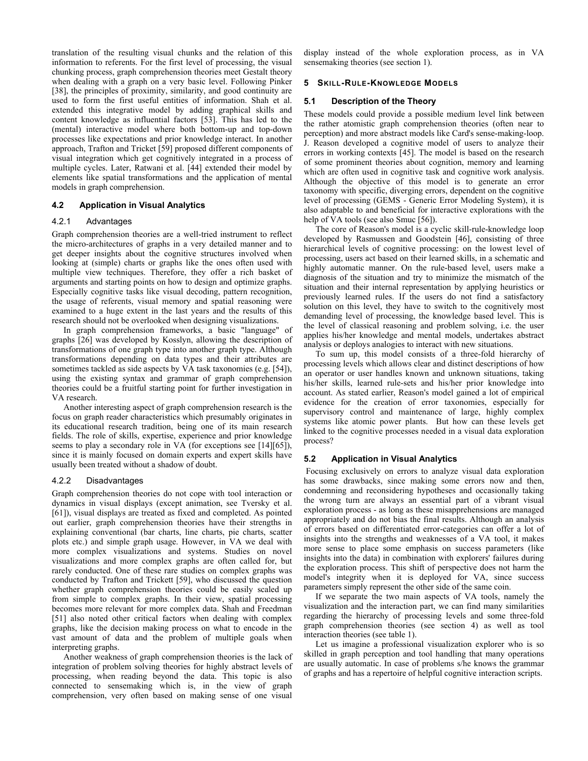translation of the resulting visual chunks and the relation of this information to referents. For the first level of processing, the visual chunking process, graph comprehension theories meet Gestalt theory when dealing with a graph on a very basic level. Following Pinker [38], the principles of proximity, similarity, and good continuity are used to form the first useful entities of information. Shah et al. extended this integrative model by adding graphical skills and content knowledge as influential factors [53]. This has led to the (mental) interactive model where both bottom-up and top-down processes like expectations and prior knowledge interact. In another approach, Trafton and Tricket [59] proposed different components of visual integration which get cognitively integrated in a process of multiple cycles. Later, Ratwani et al. [44] extended their model by elements like spatial transformations and the application of mental models in graph comprehension.

# **4.2 Application in Visual Analytics**

# 4.2.1 Advantages

Graph comprehension theories are a well-tried instrument to reflect the micro-architectures of graphs in a very detailed manner and to get deeper insights about the cognitive structures involved when looking at (simple) charts or graphs like the ones often used with multiple view techniques. Therefore, they offer a rich basket of arguments and starting points on how to design and optimize graphs. Especially cognitive tasks like visual decoding, pattern recognition, the usage of referents, visual memory and spatial reasoning were examined to a huge extent in the last years and the results of this research should not be overlooked when designing visualizations.

In graph comprehension frameworks, a basic "language" of graphs [26] was developed by Kosslyn, allowing the description of transformations of one graph type into another graph type. Although transformations depending on data types and their attributes are sometimes tackled as side aspects by VA task taxonomies (e.g. [54]), using the existing syntax and grammar of graph comprehension theories could be a fruitful starting point for further investigation in VA research.

Another interesting aspect of graph comprehension research is the focus on graph reader characteristics which presumably originates in its educational research tradition, being one of its main research fields. The role of skills, expertise, experience and prior knowledge seems to play a secondary role in VA (for exceptions see [14][65]), since it is mainly focused on domain experts and expert skills have usually been treated without a shadow of doubt.

## 4.2.2 Disadvantages

Graph comprehension theories do not cope with tool interaction or dynamics in visual displays (except animation, see Tversky et al. [61]), visual displays are treated as fixed and completed. As pointed out earlier, graph comprehension theories have their strengths in explaining conventional (bar charts, line charts, pie charts, scatter plots etc.) and simple graph usage. However, in VA we deal with more complex visualizations and systems. Studies on novel visualizations and more complex graphs are often called for, but rarely conducted. One of these rare studies on complex graphs was conducted by Trafton and Trickett [59], who discussed the question whether graph comprehension theories could be easily scaled up from simple to complex graphs. In their view, spatial processing becomes more relevant for more complex data. Shah and Freedman [51] also noted other critical factors when dealing with complex graphs, like the decision making process on what to encode in the vast amount of data and the problem of multiple goals when interpreting graphs.

Another weakness of graph comprehension theories is the lack of integration of problem solving theories for highly abstract levels of processing, when reading beyond the data. This topic is also connected to sensemaking which is, in the view of graph comprehension, very often based on making sense of one visual display instead of the whole exploration process, as in VA sensemaking theories (see section 1).

# **5 SKILL-RULE-KNOWLEDGE MODELS**

## **5.1 Description of the Theory**

These models could provide a possible medium level link between the rather atomistic graph comprehension theories (often near to perception) and more abstract models like Card's sense-making-loop. J. Reason developed a cognitive model of users to analyze their errors in working contexts [45]. The model is based on the research of some prominent theories about cognition, memory and learning which are often used in cognitive task and cognitive work analysis. Although the objective of this model is to generate an error taxonomy with specific, diverging errors, dependent on the cognitive level of processing (GEMS - Generic Error Modeling System), it is also adaptable to and beneficial for interactive explorations with the help of VA tools (see also Smuc [56]).

The core of Reason's model is a cyclic skill-rule-knowledge loop developed by Rasmussen and Goodstein [46], consisting of three hierarchical levels of cognitive processing: on the lowest level of processing, users act based on their learned skills, in a schematic and highly automatic manner. On the rule-based level, users make a diagnosis of the situation and try to minimize the mismatch of the situation and their internal representation by applying heuristics or previously learned rules. If the users do not find a satisfactory solution on this level, they have to switch to the cognitively most demanding level of processing, the knowledge based level. This is the level of classical reasoning and problem solving, i.e. the user applies his/her knowledge and mental models, undertakes abstract analysis or deploys analogies to interact with new situations.

To sum up, this model consists of a three-fold hierarchy of processing levels which allows clear and distinct descriptions of how an operator or user handles known and unknown situations, taking his/her skills, learned rule-sets and his/her prior knowledge into account. As stated earlier, Reason's model gained a lot of empirical evidence for the creation of error taxonomies, especially for supervisory control and maintenance of large, highly complex systems like atomic power plants. But how can these levels get linked to the cognitive processes needed in a visual data exploration process?

# **5.2 Application in Visual Analytics**

 Focusing exclusively on errors to analyze visual data exploration has some drawbacks, since making some errors now and then, condemning and reconsidering hypotheses and occasionally taking the wrong turn are always an essential part of a vibrant visual exploration process - as long as these misapprehensions are managed appropriately and do not bias the final results. Although an analysis of errors based on differentiated error-categories can offer a lot of insights into the strengths and weaknesses of a VA tool, it makes more sense to place some emphasis on success parameters (like insights into the data) in combination with explorers' failures during the exploration process. This shift of perspective does not harm the model's integrity when it is deployed for VA, since success parameters simply represent the other side of the same coin.

If we separate the two main aspects of VA tools, namely the visualization and the interaction part, we can find many similarities regarding the hierarchy of processing levels and some three-fold graph comprehension theories (see section 4) as well as tool interaction theories (see table 1).

Let us imagine a professional visualization explorer who is so skilled in graph perception and tool handling that many operations are usually automatic. In case of problems s/he knows the grammar of graphs and has a repertoire of helpful cognitive interaction scripts.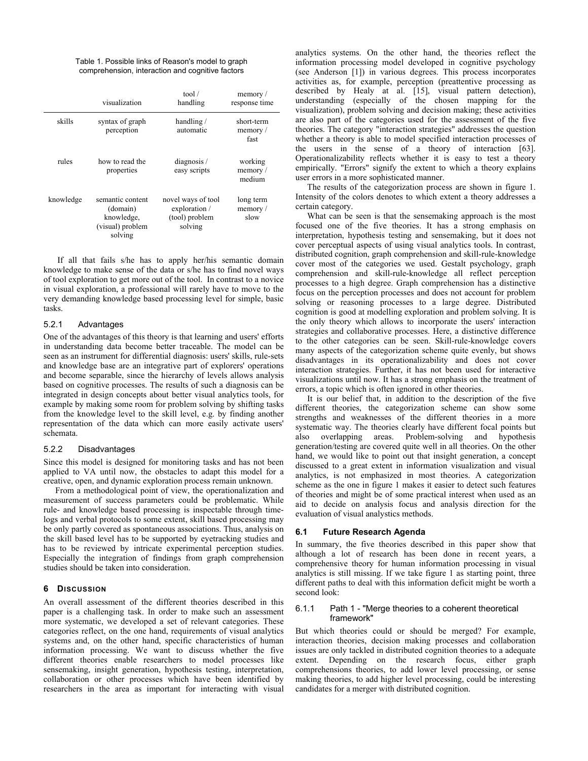|  | Table 1. Possible links of Reason's model to graph |  |
|--|----------------------------------------------------|--|
|  | comprehension, interaction and cognitive factors   |  |

|           | visualization                                                             | $\frac{1}{2}$<br>handling                                        | memory /<br>response time      |
|-----------|---------------------------------------------------------------------------|------------------------------------------------------------------|--------------------------------|
| skills    | syntax of graph<br>perception                                             | handling $/$<br>automatic                                        | short-term<br>memory /<br>fast |
| rules     | how to read the<br>properties                                             | diagnosis /<br>easy scripts                                      | working<br>memory/<br>medium   |
| knowledge | semantic content<br>(domain)<br>knowledge,<br>(visual) problem<br>solving | novel ways of tool<br>exploration /<br>(tool) problem<br>solving | long term<br>memory /<br>slow  |

 If all that fails s/he has to apply her/his semantic domain knowledge to make sense of the data or s/he has to find novel ways of tool exploration to get more out of the tool. In contrast to a novice in visual exploration, a professional will rarely have to move to the very demanding knowledge based processing level for simple, basic tasks.

## 5.2.1 Advantages

One of the advantages of this theory is that learning and users' efforts in understanding data become better traceable. The model can be seen as an instrument for differential diagnosis: users' skills, rule-sets and knowledge base are an integrative part of explorers' operations and become separable, since the hierarchy of levels allows analysis based on cognitive processes. The results of such a diagnosis can be integrated in design concepts about better visual analytics tools, for example by making some room for problem solving by shifting tasks from the knowledge level to the skill level, e.g. by finding another representation of the data which can more easily activate users' schemata.

# 5.2.2 Disadvantages

Since this model is designed for monitoring tasks and has not been applied to VA until now, the obstacles to adapt this model for a creative, open, and dynamic exploration process remain unknown.

From a methodological point of view, the operationalization and measurement of success parameters could be problematic. While rule- and knowledge based processing is inspectable through timelogs and verbal protocols to some extent, skill based processing may be only partly covered as spontaneous associations. Thus, analysis on the skill based level has to be supported by eyetracking studies and has to be reviewed by intricate experimental perception studies. Especially the integration of findings from graph comprehension studies should be taken into consideration.

# **6 DISCUSSION**

An overall assessment of the different theories described in this paper is a challenging task. In order to make such an assessment more systematic, we developed a set of relevant categories. These categories reflect, on the one hand, requirements of visual analytics systems and, on the other hand, specific characteristics of human information processing. We want to discuss whether the five different theories enable researchers to model processes like sensemaking, insight generation, hypothesis testing, interpretation, collaboration or other processes which have been identified by researchers in the area as important for interacting with visual

analytics systems. On the other hand, the theories reflect the information processing model developed in cognitive psychology (see Anderson [1]) in various degrees. This process incorporates activities as, for example, perception (preattentive processing as described by Healy at al. [15], visual pattern detection), understanding (especially of the chosen mapping for the visualization), problem solving and decision making; these activities are also part of the categories used for the assessment of the five theories. The category "interaction strategies" addresses the question whether a theory is able to model specified interaction processes of the users in the sense of a theory of interaction [63]. Operationalizability reflects whether it is easy to test a theory empirically. "Errors" signify the extent to which a theory explains user errors in a more sophisticated manner.

The results of the categorization process are shown in figure 1. Intensity of the colors denotes to which extent a theory addresses a certain category.

What can be seen is that the sensemaking approach is the most focused one of the five theories. It has a strong emphasis on interpretation, hypothesis testing and sensemaking, but it does not cover perceptual aspects of using visual analytics tools. In contrast, distributed cognition, graph comprehension and skill-rule-knowledge cover most of the categories we used. Gestalt psychology, graph comprehension and skill-rule-knowledge all reflect perception processes to a high degree. Graph comprehension has a distinctive focus on the perception processes and does not account for problem solving or reasoning processes to a large degree. Distributed cognition is good at modelling exploration and problem solving. It is the only theory which allows to incorporate the users' interaction strategies and collaborative processes. Here, a distinctive difference to the other categories can be seen. Skill-rule-knowledge covers many aspects of the categorization scheme quite evenly, but shows disadvantages in its operationalizability and does not cover interaction strategies. Further, it has not been used for interactive visualizations until now. It has a strong emphasis on the treatment of errors, a topic which is often ignored in other theories.

It is our belief that, in addition to the description of the five different theories, the categorization scheme can show some strengths and weaknesses of the different theories in a more systematic way. The theories clearly have different focal points but also overlapping areas. Problem-solving and hypothesis generation/testing are covered quite well in all theories. On the other hand, we would like to point out that insight generation, a concept discussed to a great extent in information visualization and visual analytics, is not emphasized in most theories. A categorization scheme as the one in figure 1 makes it easier to detect such features of theories and might be of some practical interest when used as an aid to decide on analysis focus and analysis direction for the evaluation of visual analystics methods.

# **6.1 Future Research Agenda**

In summary, the five theories described in this paper show that although a lot of research has been done in recent years, a comprehensive theory for human information processing in visual analytics is still missing. If we take figure 1 as starting point, three different paths to deal with this information deficit might be worth a second look:

# 6.1.1 Path 1 - "Merge theories to a coherent theoretical framework"

But which theories could or should be merged? For example, interaction theories, decision making processes and collaboration issues are only tackled in distributed cognition theories to a adequate extent. Depending on the research focus, either graph comprehensions theories, to add lower level processing, or sense making theories, to add higher level processing, could be interesting candidates for a merger with distributed cognition.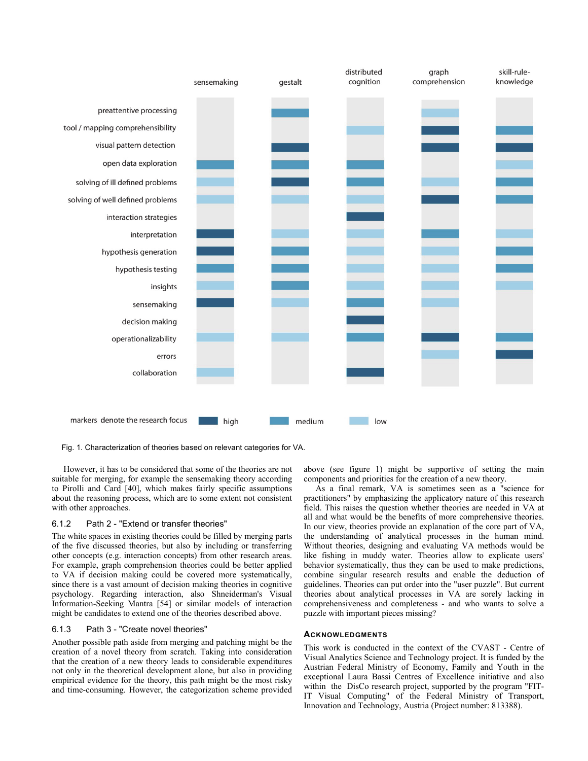

Fig. 1. Characterization of theories based on relevant categories for VA.

However, it has to be considered that some of the theories are not suitable for merging, for example the sensemaking theory according to Pirolli and Card [40], which makes fairly specific assumptions about the reasoning process, which are to some extent not consistent with other approaches.

# 6.1.2 Path 2 - "Extend or transfer theories"

The white spaces in existing theories could be filled by merging parts of the five discussed theories, but also by including or transferring other concepts (e.g. interaction concepts) from other research areas. For example, graph comprehension theories could be better applied to VA if decision making could be covered more systematically, since there is a vast amount of decision making theories in cognitive psychology. Regarding interaction, also Shneiderman's Visual Information-Seeking Mantra [54] or similar models of interaction might be candidates to extend one of the theories described above.

# 6.1.3 Path 3 - "Create novel theories"

Another possible path aside from merging and patching might be the creation of a novel theory from scratch. Taking into consideration that the creation of a new theory leads to considerable expenditures not only in the theoretical development alone, but also in providing empirical evidence for the theory, this path might be the most risky and time-consuming. However, the categorization scheme provided

above (see figure 1) might be supportive of setting the main components and priorities for the creation of a new theory.

As a final remark, VA is sometimes seen as a "science for practitioners" by emphasizing the applicatory nature of this research field. This raises the question whether theories are needed in VA at all and what would be the benefits of more comprehensive theories. In our view, theories provide an explanation of the core part of VA, the understanding of analytical processes in the human mind. Without theories, designing and evaluating VA methods would be like fishing in muddy water. Theories allow to explicate users' behavior systematically, thus they can be used to make predictions, combine singular research results and enable the deduction of guidelines. Theories can put order into the "user puzzle". But current theories about analytical processes in VA are sorely lacking in comprehensiveness and completeness - and who wants to solve a puzzle with important pieces missing?

# **ACKNOWLEDGMENTS**

This work is conducted in the context of the CVAST - Centre of Visual Analytics Science and Technology project. It is funded by the Austrian Federal Ministry of Economy, Family and Youth in the exceptional Laura Bassi Centres of Excellence initiative and also within the DisCo research project, supported by the program "FIT-IT Visual Computing" of the Federal Ministry of Transport, Innovation and Technology, Austria (Project number: 813388).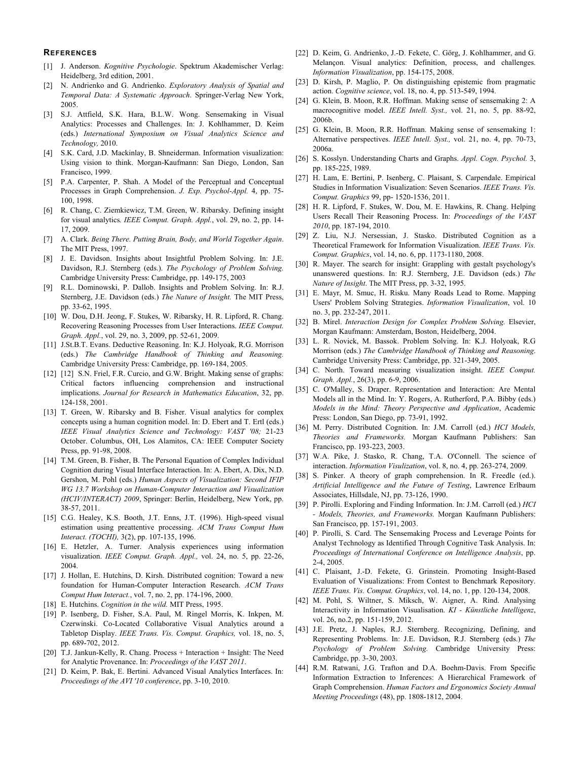## **REFERENCES**

- [1] J. Anderson. *Kognitive Psychologie*. Spektrum Akademischer Verlag: Heidelberg, 3rd edition, 2001.
- [2] N. Andrienko and G. Andrienko. *Exploratory Analysis of Spatial and Temporal Data: A Systematic Approach*. Springer-Verlag New York, 2005.
- [3] S.J. Attfield, S.K. Hara, B.L.W. Wong. Sensemaking in Visual Analytics: Processes and Challenges. In: J. Kohlhammer, D. Keim (eds.) *International Symposium on Visual Analytics Science and Technology,* 2010.
- [4] S.K. Card, J.D. Mackinlay, B. Shneiderman. Information visualization: Using vision to think. Morgan-Kaufmann: San Diego, London, San Francisco, 1999.
- [5] P.A. Carpenter, P. Shah. A Model of the Perceptual and Conceptual Processes in Graph Comprehension. *J. Exp. Psychol-Appl.* 4, pp. 75- 100, 1998.
- [6] R. Chang, C. Ziemkiewicz, T.M. Green, W. Ribarsky. Defining insight for visual analytics*. IEEE Comput. Graph. Appl.*, vol. 29, no. 2, pp. 14- 17, 2009.
- [7] A. Clark. *Being There. Putting Brain, Body, and World Together Again*. The MIT Press, 1997.
- [8] J. E. Davidson. Insights about Insightful Problem Solving. In: J.E. Davidson, R.J. Sternberg (eds.). *The Psychology of Problem Solving.* Cambridge University Press: Cambridge, pp. 149-175, 2003
- [9] R.L. Dominowski, P. Dallob. Insights and Problem Solving. In: R.J. Sternberg, J.E. Davidson (eds.) *The Nature of Insight.* The MIT Press, pp. 33-62, 1995.
- [10] W. Dou, D.H. Jeong, F. Stukes, W. Ribarsky, H. R. Lipford, R. Chang. Recovering Reasoning Processes from User Interactions. *IEEE Comput. Graph. Appl.*, vol. 29, no. 3, 2009, pp. 52-61, 2009.
- [11] J.St.B.T. Evans. Deductive Reasoning. In: K.J. Holyoak, R.G. Morrison (eds.) *The Cambridge Handbook of Thinking and Reasoning.* Cambridge University Press: Cambridge, pp. 169-184, 2005.
- [12] [12] S.N. Friel, F.R. Curcio, and G.W. Bright. Making sense of graphs: Critical factors influencing comprehension and instructional implications. *Journal for Research in Mathematics Education*, 32, pp. 124-158, 2001.
- [13] T. Green, W. Ribarsky and B. Fisher. Visual analytics for complex concepts using a human cognition model. In: D. Ebert and T. Ertl (eds.) *IEEE Visual Analytics Science and Technology: VAST '08;* 21-23 October. Columbus, OH, Los Alamitos, CA: IEEE Computer Society Press, pp. 91-98, 2008.
- [14] T.M. Green, B. Fisher, B. The Personal Equation of Complex Individual Cognition during Visual Interface Interaction. In: A. Ebert, A. Dix, N.D. Gershon, M. Pohl (eds.) *Human Aspects of Visualization: Second IFIP WG 13.7 Workshop on Human-Computer Interaction and Visualization (HCIV/INTERACT) 2009*, Springer: Berlin, Heidelberg, New York, pp. 38-57, 2011.
- [15] C.G. Healey, K.S. Booth, J.T. Enns, J.T. (1996). High-speed visual estimation using preattentive processing. *ACM Trans Comput Hum Interact. (TOCHI),* 3(2), pp. 107-135, 1996.
- [16] E. Hetzler, A. Turner. Analysis experiences using information visualization. *IEEE Comput. Graph. Appl.,* vol. 24, no. 5, pp. 22-26, 2004.
- [17] J. Hollan, E. Hutchins, D. Kirsh. Distributed cognition: Toward a new foundation for Human-Computer Interaction Research. *ACM Trans Comput Hum Interact.*, vol. 7, no. 2, pp. 174-196, 2000.
- [18] E. Hutchins. *Cognition in the wild*. MIT Press, 1995.
- [19] P. Isenberg, D. Fisher, S.A. Paul, M. Ringel Morris, K. Inkpen, M. Czerwinski. Co-Located Collaborative Visual Analytics around a Tabletop Display. *IEEE Trans. Vis. Comput. Graphics,* vol. 18, no. 5, pp. 689-702, 2012.
- [20] T.J. Jankun-Kelly, R. Chang. Process + Interaction + Insight: The Need for Analytic Provenance. In: *Proceedings of the VAST 2011*.
- [21] D. Keim, P. Bak, E. Bertini. Advanced Visual Analytics Interfaces. In: *Proceedings of the AVI '10 conference*, pp. 3-10, 2010.
- [22] D. Keim, G. Andrienko, J.-D. Fekete, C. Görg, J. Kohlhammer, and G. Melançon. Visual analytics: Definition, process, and challenges. *Information Visualization*, pp. 154-175, 2008.
- [23] D. Kirsh, P. Maglio, P. On distinguishing epistemic from pragmatic action. *Cognitive science*, vol. 18, no. 4, pp. 513-549, 1994.
- [24] G. Klein, B. Moon, R.R. Hoffman. Making sense of sensemaking 2: A macrocognitive model. *IEEE Intell. Syst.,* vol. 21, no. 5, pp. 88-92, 2006b.
- [25] G. Klein, B. Moon, R.R. Hoffman. Making sense of sensemaking 1: Alternative perspectives. *IEEE Intell. Syst.,* vol. 21, no. 4, pp. 70-73, 2006a.
- [26] S. Kosslyn. Understanding Charts and Graphs. *Appl. Cogn. Psychol.* 3, pp. 185-225, 1989.
- [27] H. Lam, E. Bertini, P. Isenberg, C. Plaisant, S. Carpendale. Empirical Studies in Information Visualization: Seven Scenarios. *IEEE Trans. Vis. Comput. Graphics* 99, pp- 1520-1536, 2011.
- [28] H. R. Lipford, F. Stukes, W. Dou, M. E. Hawkins, R. Chang. Helping Users Recall Their Reasoning Process. In: *Proceedings of the VAST 2010*, pp. 187-194, 2010.
- [29] Z. Liu, N.J. Nersessian, J. Stasko. Distributed Cognition as a Theoretical Framework for Information Visualization. *IEEE Trans. Vis. Comput. Graphics*, vol. 14, no. 6, pp. 1173-1180, 2008.
- [30] R. Mayer. The search for insight: Grappling with gestalt psychology's unanswered questions. In: R.J. Sternberg, J.E. Davidson (eds.) *The Nature of Insight*. The MIT Press, pp. 3-32, 1995.
- [31] E. Mayr, M. Smuc, H. Risku. Many Roads Lead to Rome. Mapping Users' Problem Solving Strategies. *Information Visualization*, vol. 10 no. 3, pp. 232-247, 2011.
- [32] B. Mirel. *Interaction Design for Complex Problem Solving.* Elsevier, Morgan Kaufmann: Amsterdam, Boston, Heidelberg, 2004.
- [33] L. R. Novick, M. Bassok. Problem Solving. In: K.J. Holyoak, R.G Morrison (eds.) *The Cambridge Handbook of Thinking and Reasoning*. Cambridge University Press: Cambridge, pp. 321-349, 2005.
- [34] C. North. Toward measuring visualization insight. *IEEE Comput*. *Graph. Appl.*, 26(3), pp. 6-9, 2006.
- [35] C. O'Malley, S. Draper. Representation and Interaction: Are Mental Models all in the Mind. In: Y. Rogers, A. Rutherford, P.A. Bibby (eds.) *Models in the Mind: Theory Perspective and Application*, Academic Press: London, San Diego, pp. 73-91, 1992.
- [36] M. Perry. Distributed Cognition. In: J.M. Carroll (ed.) *HCI Models, Theories and Frameworks.* Morgan Kaufmann Publishers: San Francisco, pp. 193-223, 2003.
- [37] W.A. Pike, J. Stasko, R. Chang, T.A. O'Connell. The science of interaction. *Information Visulization*, vol. 8, no. 4, pp. 263-274, 2009.
- [38] S. Pinker. A theory of graph comprehension. In R. Freedle (ed.). *Artificial Intelligence and the Future of Testing*, Lawrence Erlbaum Associates, Hillsdale, NJ, pp. 73-126, 1990.
- [39] P. Pirolli. Exploring and Finding Information. In: J.M. Carroll (ed.) *HCI - Models, Theories, and Frameworks.* Morgan Kaufmann Publishers: San Francisco, pp. 157-191, 2003.
- [40] P. Pirolli, S. Card. The Sensemaking Process and Leverage Points for Analyst Technology as Identified Through Cognitive Task Analysis. In: *Proceedings of International Conference on Intelligence Analysis*, pp. 2-4, 2005.
- [41] C. Plaisant, J.-D. Fekete, G. Grinstein. Promoting Insight-Based Evaluation of Visualizations: From Contest to Benchmark Repository. *IEEE Trans. Vis. Comput. Graphics*, vol. 14, no. 1, pp. 120-134, 2008.
- [42] M. Pohl, S. Wiltner, S. Miksch, W. Aigner, A. Rind. Analysing Interactivity in Information Visualisation. *KI - Künstliche Intelligenz*, vol. 26, no.2, pp. 151-159, 2012.
- [43] J.E. Pretz, J. Naples, R.J. Sternberg. Recognizing, Defining, and Representing Problems. In: J.E. Davidson, R.J. Sternberg (eds.) *The Psychology of Problem Solving.* Cambridge University Press: Cambridge, pp. 3-30, 2003.
- [44] R.M. Ratwani, J.G. Trafton and D.A. Boehm-Davis. From Specific Information Extraction to Inferences: A Hierarchical Framework of Graph Comprehension. *Human Factors and Ergonomics Society Annual Meeting Proceedings* (48), pp. 1808-1812, 2004.